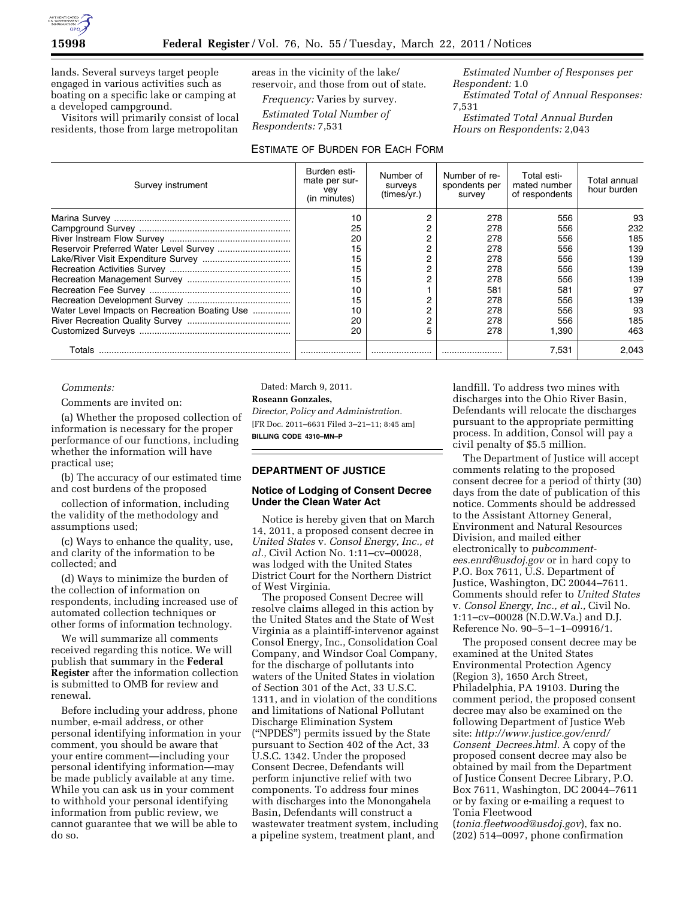

lands. Several surveys target people engaged in various activities such as boating on a specific lake or camping at a developed campground.

Visitors will primarily consist of local residents, those from large metropolitan areas in the vicinity of the lake/ reservoir, and those from out of state.

*Frequency:* Varies by survey.

*Estimated Total Number of Respondents:* 7,531

### ESTIMATE OF BURDEN FOR EACH FORM

*Estimated Number of Responses per Respondent:* 1.0

*Estimated Total of Annual Responses:*  7,531

*Estimated Total Annual Burden Hours on Respondents:* 2,043

| Survey instrument                             | Burden esti-<br>mate per sur-<br>vey<br>(in minutes) | Number of<br>surveys<br>(times/vr.) | Number of re-<br>spondents per<br>survey | Total esti-<br>mated number<br>of respondents | Total annual<br>hour burden |
|-----------------------------------------------|------------------------------------------------------|-------------------------------------|------------------------------------------|-----------------------------------------------|-----------------------------|
|                                               | 10                                                   |                                     | 278                                      | 556                                           | 93                          |
|                                               | 25                                                   |                                     | 278                                      | 556                                           | 232                         |
|                                               | 20                                                   |                                     | 278                                      | 556                                           | 185                         |
|                                               | 15                                                   |                                     | 278                                      | 556                                           | 139                         |
|                                               | 15                                                   |                                     | 278                                      | 556                                           | 139                         |
|                                               | 15                                                   |                                     | 278                                      | 556                                           | 139                         |
|                                               | 15                                                   |                                     | 278                                      | 556                                           | 139                         |
|                                               | 10                                                   |                                     | 581                                      | 581                                           | 97                          |
|                                               | 15                                                   |                                     | 278                                      | 556                                           | 139                         |
| Water Level Impacts on Recreation Boating Use | 10                                                   |                                     | 278                                      | 556                                           | 93                          |
|                                               | 20                                                   |                                     | 278                                      | 556                                           | 185                         |
|                                               | 20                                                   |                                     | 278                                      | 1.390                                         | 463                         |
| Totals                                        |                                                      |                                     |                                          | 7,531                                         | 2.043                       |

#### *Comments:*

Comments are invited on:

(a) Whether the proposed collection of information is necessary for the proper performance of our functions, including whether the information will have practical use;

(b) The accuracy of our estimated time and cost burdens of the proposed

collection of information, including the validity of the methodology and assumptions used;

(c) Ways to enhance the quality, use, and clarity of the information to be collected; and

(d) Ways to minimize the burden of the collection of information on respondents, including increased use of automated collection techniques or other forms of information technology.

We will summarize all comments received regarding this notice. We will publish that summary in the **Federal Register** after the information collection is submitted to OMB for review and renewal.

Before including your address, phone number, e-mail address, or other personal identifying information in your comment, you should be aware that your entire comment—including your personal identifying information—may be made publicly available at any time. While you can ask us in your comment to withhold your personal identifying information from public review, we cannot guarantee that we will be able to do so.

Dated: March 9, 2011*.*  **Roseann Gonzales,**  *Director, Policy and Administration.*  [FR Doc. 2011–6631 Filed 3–21–11; 8:45 am]

**BILLING CODE 4310–MN–P** 

#### **DEPARTMENT OF JUSTICE**

### **Notice of Lodging of Consent Decree Under the Clean Water Act**

Notice is hereby given that on March 14, 2011, a proposed consent decree in *United States* v. *Consol Energy, Inc., et al.,* Civil Action No. 1:11–cv–00028, was lodged with the United States District Court for the Northern District of West Virginia.

The proposed Consent Decree will resolve claims alleged in this action by the United States and the State of West Virginia as a plaintiff-intervenor against Consol Energy, Inc., Consolidation Coal Company, and Windsor Coal Company, for the discharge of pollutants into waters of the United States in violation of Section 301 of the Act, 33 U.S.C. 1311, and in violation of the conditions and limitations of National Pollutant Discharge Elimination System (''NPDES'') permits issued by the State pursuant to Section 402 of the Act, 33 U.S.C. 1342. Under the proposed Consent Decree, Defendants will perform injunctive relief with two components. To address four mines with discharges into the Monongahela Basin, Defendants will construct a wastewater treatment system, including a pipeline system, treatment plant, and

landfill. To address two mines with discharges into the Ohio River Basin, Defendants will relocate the discharges pursuant to the appropriate permitting process. In addition, Consol will pay a civil penalty of \$5.5 million.

The Department of Justice will accept comments relating to the proposed consent decree for a period of thirty (30) days from the date of publication of this notice. Comments should be addressed to the Assistant Attorney General, Environment and Natural Resources Division, and mailed either electronically to *[pubcomment](mailto:pubcomment-ees.enrd@usdoj.gov)[ees.enrd@usdoj.gov](mailto:pubcomment-ees.enrd@usdoj.gov)* or in hard copy to P.O. Box 7611, U.S. Department of Justice, Washington, DC 20044–7611. Comments should refer to *United States*  v. *Consol Energy, Inc., et al.,* Civil No. 1:11–cv–00028 (N.D.W.Va.) and D.J. Reference No. 90–5–1–1–09916/1.

The proposed consent decree may be examined at the United States Environmental Protection Agency (Region 3), 1650 Arch Street, Philadelphia, PA 19103. During the comment period, the proposed consent decree may also be examined on the following Department of Justice Web site: *[http://www.justice.gov/enrd/](http://www.justice.gov/enrd/Consent_Decrees.html) Consent*\_*[Decrees.html.](http://www.justice.gov/enrd/Consent_Decrees.html)* A copy of the proposed consent decree may also be obtained by mail from the Department of Justice Consent Decree Library, P.O. Box 7611, Washington, DC 20044–7611 or by faxing or e-mailing a request to Tonia Fleetwood

(*[tonia.fleetwood@usdoj.gov](mailto:tonia.fleetwood@usdoj.gov)*), fax no. (202) 514–0097, phone confirmation